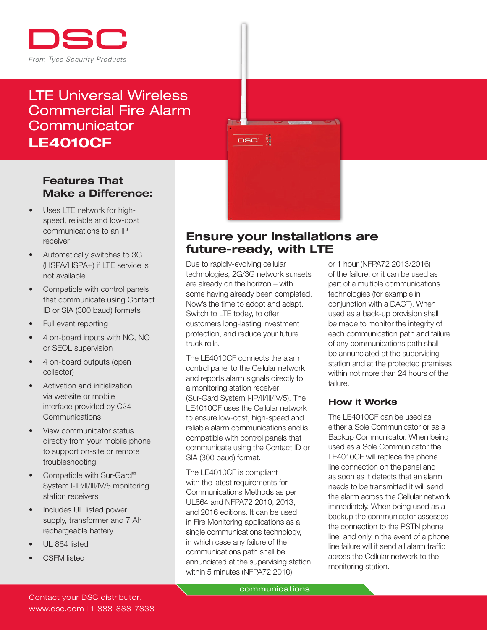

# LTE Universal Wireless Commercial Fire Alarm **Communicator** LE4010CF

DSC X

## Features That Make a Difference:

- Uses LTE network for highspeed, reliable and low-cost communications to an IP receiver
- Automatically switches to 3G (HSPA/HSPA+) if LTE service is not available
- Compatible with control panels that communicate using Contact ID or SIA (300 baud) formats
- Full event reporting
- 4 on-board inputs with NC, NO or SEOL supervision
- 4 on-board outputs (open collector)
- Activation and initialization via website or mobile interface provided by C24 **Communications**
- View communicator status directly from your mobile phone to support on-site or remote troubleshooting
- Compatible with Sur-Gard® System I-IP/II/III/IV/5 monitoring station receivers
- Includes UL listed power supply, transformer and 7 Ah rechargeable battery
- UL 864 listed
- CSFM listed

# Ensure your installations are future-ready, with LTE

Due to rapidly-evolving cellular technologies, 2G/3G network sunsets are already on the horizon – with some having already been completed. Now's the time to adopt and adapt. Switch to LTE today, to offer customers long-lasting investment protection, and reduce your future truck rolls.

The LE4010CF connects the alarm control panel to the Cellular network and reports alarm signals directly to a monitoring station receiver (Sur-Gard System I-IP/II/III/IV/5). The LE4010CF uses the Cellular network to ensure low-cost, high-speed and reliable alarm communications and is compatible with control panels that communicate using the Contact ID or SIA (300 baud) format.

The LE4010CF is compliant with the latest requirements for Communications Methods as per UL864 and NFPA72 2010, 2013, and 2016 editions. It can be used in Fire Monitoring applications as a single communications technology, in which case any failure of the communications path shall be annunciated at the supervising station within 5 minutes (NFPA72 2010)

or 1 hour (NFPA72 2013/2016) of the failure, or it can be used as part of a multiple communications technologies (for example in conjunction with a DACT). When used as a back-up provision shall be made to monitor the integrity of each communication path and failure of any communications path shall be annunciated at the supervising station and at the protected premises within not more than 24 hours of the failure.

## How it Works

The LE4010CF can be used as either a Sole Communicator or as a Backup Communicator. When being used as a Sole Communicator the LE4010CF will replace the phone line connection on the panel and as soon as it detects that an alarm needs to be transmitted it will send the alarm across the Cellular network immediately. When being used as a backup the communicator assesses the connection to the PSTN phone line, and only in the event of a phone line failure will it send all alarm traffic across the Cellular network to the monitoring station.